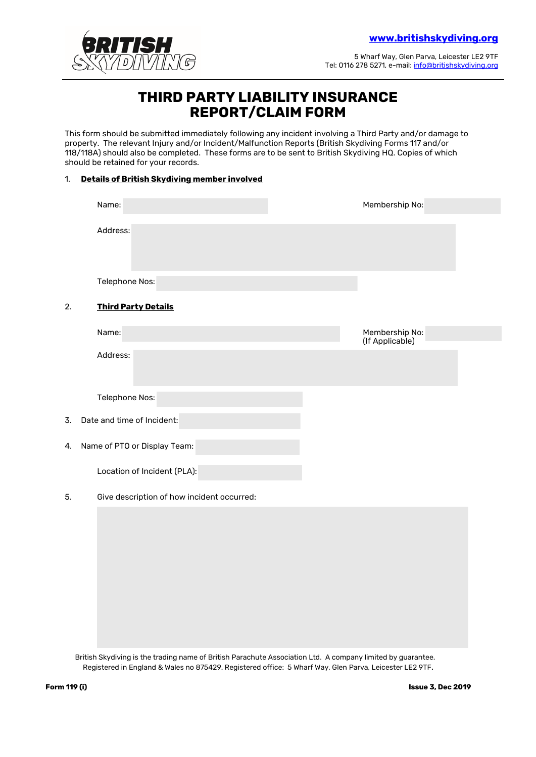

5 Wharf Way, Glen Parva, Leicester LE2 9TF Tel: 0116 278 5271, e-mail[: info@britishskydiving.org](mailto:info@britishskydiving.org)

## **THIRD PARTY LIABILITY INSURANCE REPORT/CLAIM FORM**

This form should be submitted immediately following any incident involving a Third Party and/or damage to property. The relevant Injury and/or Incident/Malfunction Reports (British Skydiving Forms 117 and/or 118/118A) should also be completed. These forms are to be sent to British Skydiving HQ. Copies of which should be retained for your records.

## 1. **Details of British Skydiving member involved**

|    | Name:                                      | Membership No:                    |  |
|----|--------------------------------------------|-----------------------------------|--|
|    | Address:                                   |                                   |  |
|    | Telephone Nos:                             |                                   |  |
| 2. | <b>Third Party Details</b>                 |                                   |  |
|    | Name:                                      | Membership No:<br>(If Applicable) |  |
|    | Address:                                   |                                   |  |
|    | Telephone Nos:                             |                                   |  |
| 3. | Date and time of Incident:                 |                                   |  |
| 4. | Name of PTO or Display Team:               |                                   |  |
|    | Location of Incident (PLA):                |                                   |  |
| 5. | Give description of how incident occurred: |                                   |  |
|    |                                            |                                   |  |

British Skydiving is the trading name of British Parachute Association Ltd. A company limited by guarantee. Registered in England & Wales no 875429. Registered office: 5 Wharf Way, Glen Parva, Leicester LE2 9TF.